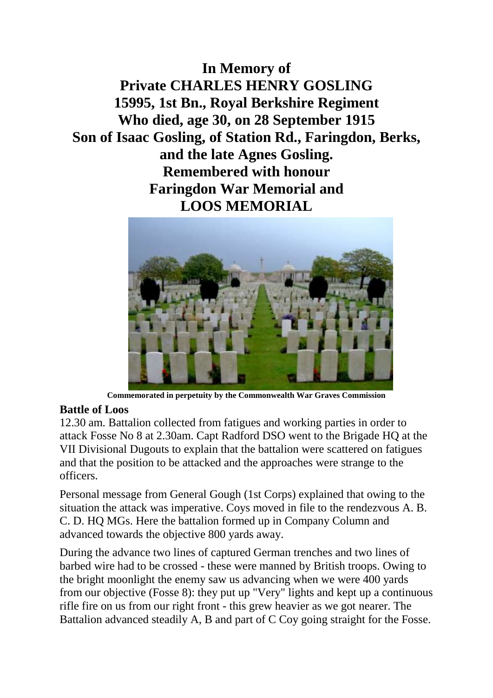**In Memory of Private CHARLES HENRY GOSLING 15995, 1st Bn., Royal Berkshire Regiment Who died, age 30, on 28 September 1915 Son of Isaac Gosling, of Station Rd., Faringdon, Berks, and the late Agnes Gosling. Remembered with honour Faringdon War Memorial and LOOS MEMORIAL**



**Commemorated in perpetuity by the Commonwealth War Graves Commission**

## **Battle of Loos**

12.30 am. Battalion collected from fatigues and working parties in order to attack Fosse No 8 at 2.30am. Capt Radford DSO went to the Brigade HQ at the VII Divisional Dugouts to explain that the battalion were scattered on fatigues and that the position to be attacked and the approaches were strange to the officers.

Personal message from General Gough (1st Corps) explained that owing to the situation the attack was imperative. Coys moved in file to the rendezvous A. B. C. D. HQ MGs. Here the battalion formed up in Company Column and advanced towards the objective 800 yards away.

During the advance two lines of captured German trenches and two lines of barbed wire had to be crossed - these were manned by British troops. Owing to the bright moonlight the enemy saw us advancing when we were 400 yards from our objective (Fosse 8): they put up "Very" lights and kept up a continuous rifle fire on us from our right front - this grew heavier as we got nearer. The Battalion advanced steadily A, B and part of C Coy going straight for the Fosse.